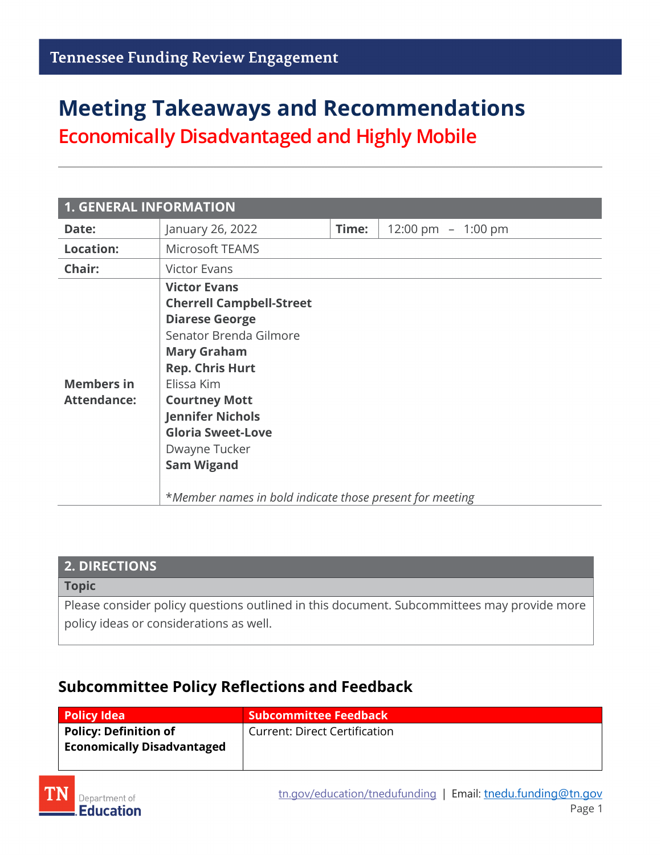# **Meeting Takeaways and Recommendations**

**Economically Disadvantaged and Highly Mobile**

| <b>1. GENERAL INFORMATION</b>           |                                                                                                                                                                                                                                                                                                                                                          |       |                     |
|-----------------------------------------|----------------------------------------------------------------------------------------------------------------------------------------------------------------------------------------------------------------------------------------------------------------------------------------------------------------------------------------------------------|-------|---------------------|
| Date:                                   | January 26, 2022                                                                                                                                                                                                                                                                                                                                         | Time: | 12:00 pm $-1:00$ pm |
| <b>Location:</b>                        | Microsoft TEAMS                                                                                                                                                                                                                                                                                                                                          |       |                     |
| Chair:                                  | <b>Victor Evans</b>                                                                                                                                                                                                                                                                                                                                      |       |                     |
| <b>Members in</b><br><b>Attendance:</b> | <b>Victor Evans</b><br><b>Cherrell Campbell-Street</b><br><b>Diarese George</b><br>Senator Brenda Gilmore<br><b>Mary Graham</b><br><b>Rep. Chris Hurt</b><br>Elissa Kim<br><b>Courtney Mott</b><br><b>Jennifer Nichols</b><br><b>Gloria Sweet-Love</b><br>Dwayne Tucker<br><b>Sam Wigand</b><br>*Member names in bold indicate those present for meeting |       |                     |

| <b>2. DIRECTIONS</b>                                                                       |  |
|--------------------------------------------------------------------------------------------|--|
| <b>Topic</b>                                                                               |  |
| Please consider policy questions outlined in this document. Subcommittees may provide more |  |
| policy ideas or considerations as well.                                                    |  |

### **Subcommittee Policy Reflections and Feedback**

| <b>Policy Idea</b>                | <b>Subcommittee Feedback</b>  |
|-----------------------------------|-------------------------------|
| Policy: Definition of             | Current: Direct Certification |
| <b>Economically Disadvantaged</b> |                               |
|                                   |                               |

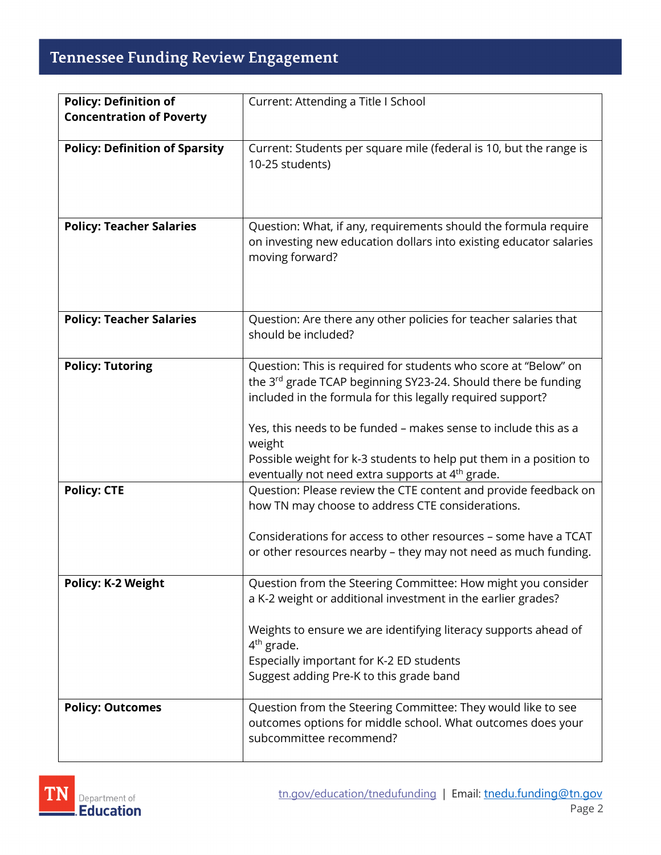## **Tennessee Funding Review Engagement**

| <b>Policy: Definition of</b>          | Current: Attending a Title I School                                                                                                                                                                                                                                                                                                                                                                               |
|---------------------------------------|-------------------------------------------------------------------------------------------------------------------------------------------------------------------------------------------------------------------------------------------------------------------------------------------------------------------------------------------------------------------------------------------------------------------|
| <b>Concentration of Poverty</b>       |                                                                                                                                                                                                                                                                                                                                                                                                                   |
| <b>Policy: Definition of Sparsity</b> | Current: Students per square mile (federal is 10, but the range is<br>10-25 students)                                                                                                                                                                                                                                                                                                                             |
| <b>Policy: Teacher Salaries</b>       | Question: What, if any, requirements should the formula require<br>on investing new education dollars into existing educator salaries<br>moving forward?                                                                                                                                                                                                                                                          |
| <b>Policy: Teacher Salaries</b>       | Question: Are there any other policies for teacher salaries that<br>should be included?                                                                                                                                                                                                                                                                                                                           |
| <b>Policy: Tutoring</b>               | Question: This is required for students who score at "Below" on<br>the 3rd grade TCAP beginning SY23-24. Should there be funding<br>included in the formula for this legally required support?<br>Yes, this needs to be funded - makes sense to include this as a<br>weight<br>Possible weight for k-3 students to help put them in a position to<br>eventually not need extra supports at 4 <sup>th</sup> grade. |
| <b>Policy: CTE</b>                    | Question: Please review the CTE content and provide feedback on<br>how TN may choose to address CTE considerations.<br>Considerations for access to other resources - some have a TCAT<br>or other resources nearby - they may not need as much funding.                                                                                                                                                          |
| <b>Policy: K-2 Weight</b>             | Question from the Steering Committee: How might you consider<br>a K-2 weight or additional investment in the earlier grades?<br>Weights to ensure we are identifying literacy supports ahead of<br>$4th$ grade.<br>Especially important for K-2 ED students<br>Suggest adding Pre-K to this grade band                                                                                                            |
| <b>Policy: Outcomes</b>               | Question from the Steering Committee: They would like to see<br>outcomes options for middle school. What outcomes does your<br>subcommittee recommend?                                                                                                                                                                                                                                                            |

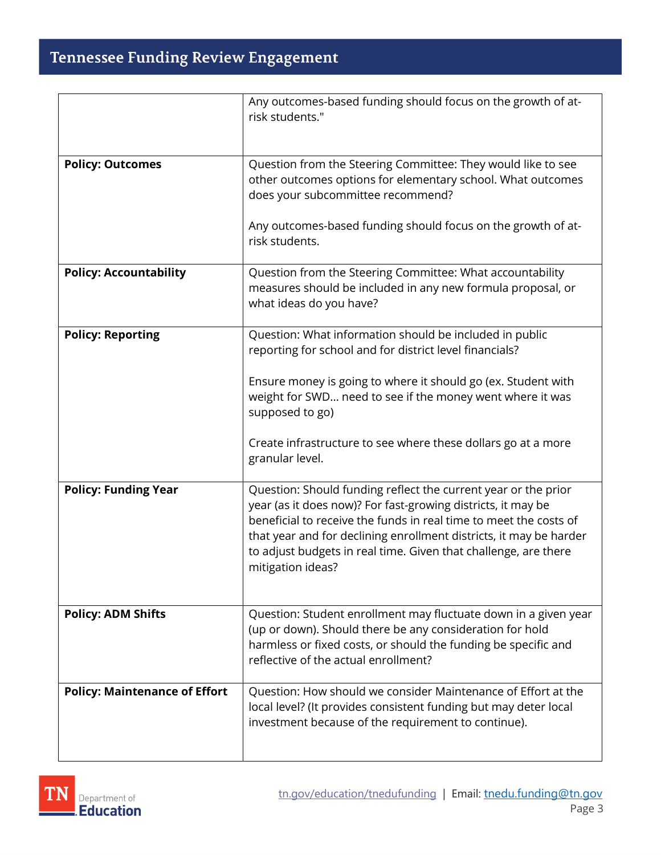## **Tennessee Funding Review Engagement**

|                                      | Any outcomes-based funding should focus on the growth of at-<br>risk students."                                                                                                                                                                                                                                                                                   |
|--------------------------------------|-------------------------------------------------------------------------------------------------------------------------------------------------------------------------------------------------------------------------------------------------------------------------------------------------------------------------------------------------------------------|
| <b>Policy: Outcomes</b>              | Question from the Steering Committee: They would like to see<br>other outcomes options for elementary school. What outcomes<br>does your subcommittee recommend?                                                                                                                                                                                                  |
|                                      | Any outcomes-based funding should focus on the growth of at-<br>risk students.                                                                                                                                                                                                                                                                                    |
| <b>Policy: Accountability</b>        | Question from the Steering Committee: What accountability<br>measures should be included in any new formula proposal, or<br>what ideas do you have?                                                                                                                                                                                                               |
| <b>Policy: Reporting</b>             | Question: What information should be included in public<br>reporting for school and for district level financials?                                                                                                                                                                                                                                                |
|                                      | Ensure money is going to where it should go (ex. Student with<br>weight for SWD need to see if the money went where it was<br>supposed to go)                                                                                                                                                                                                                     |
|                                      | Create infrastructure to see where these dollars go at a more<br>granular level.                                                                                                                                                                                                                                                                                  |
| <b>Policy: Funding Year</b>          | Question: Should funding reflect the current year or the prior<br>year (as it does now)? For fast-growing districts, it may be<br>beneficial to receive the funds in real time to meet the costs of<br>that year and for declining enrollment districts, it may be harder<br>to adjust budgets in real time. Given that challenge, are there<br>mitigation ideas? |
| <b>Policy: ADM Shifts</b>            | Question: Student enrollment may fluctuate down in a given year<br>(up or down). Should there be any consideration for hold<br>harmless or fixed costs, or should the funding be specific and<br>reflective of the actual enrollment?                                                                                                                             |
| <b>Policy: Maintenance of Effort</b> | Question: How should we consider Maintenance of Effort at the<br>local level? (It provides consistent funding but may deter local<br>investment because of the requirement to continue).                                                                                                                                                                          |